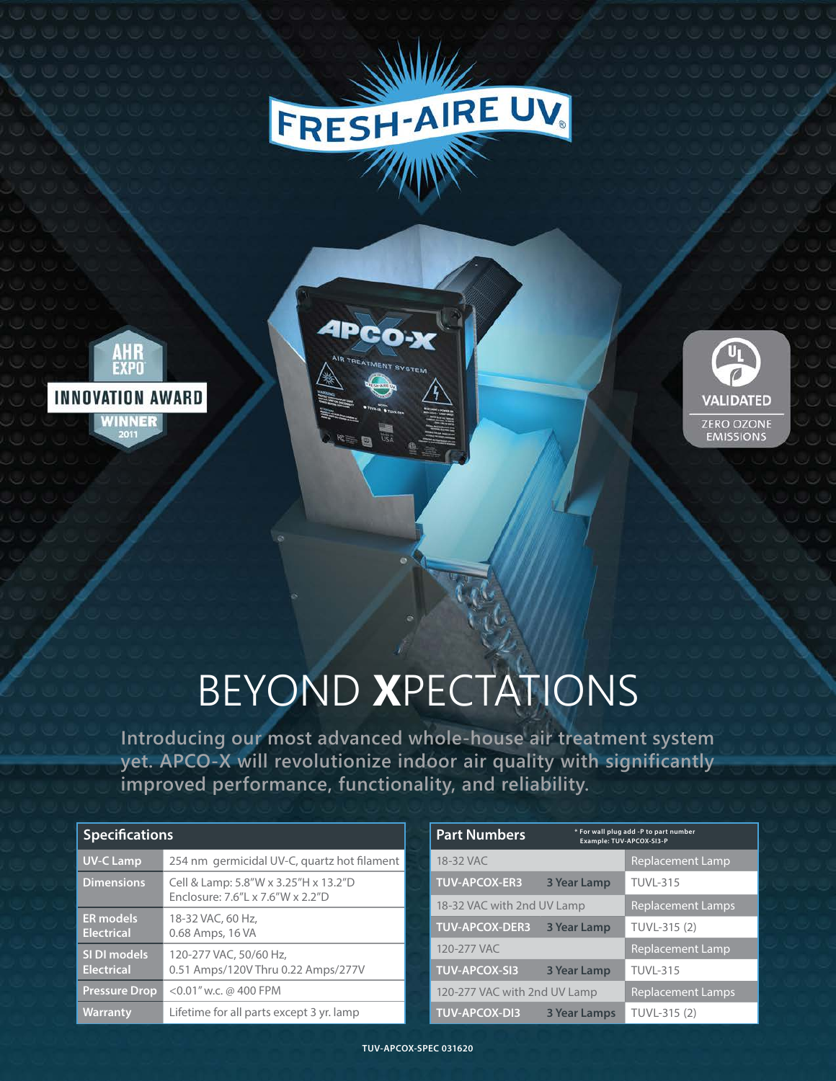

**APCO-X** 





## BEYOND **X**PECTATIONS

**Introducing our most advanced whole-house air treatment system yet. APCO-X will revolutionize indoor air quality with significantly improved performance, functionality, and reliability.** 

| <b>Specifications</b>                 |                                                                          |  |
|---------------------------------------|--------------------------------------------------------------------------|--|
| <b>UV-C Lamp</b>                      | 254 nm germicidal UV-C, quartz hot filament                              |  |
| <b>Dimensions</b>                     | Cell & Lamp: 5.8"W x 3.25"H x 13.2"D<br>Enclosure: 7.6"L x 7.6"W x 2.2"D |  |
| <b>ER</b> models<br><b>Electrical</b> | 18-32 VAC, 60 Hz.<br>0.68 Amps, 16 VA                                    |  |
| SI DI models<br><b>Electrical</b>     | 120-277 VAC, 50/60 Hz,<br>0.51 Amps/120V Thru 0.22 Amps/277V             |  |
| Pressure Drop                         | $<$ 0.01" w.c. @ 400 FPM                                                 |  |
| <b>Warranty</b>                       | Lifetime for all parts except 3 yr. lamp                                 |  |

| <b>Part Numbers</b>          |                          | * For wall plug add -P to part number<br>Example: TUV-APCOX-SI3-P |
|------------------------------|--------------------------|-------------------------------------------------------------------|
| 18-32 VAC                    |                          | <b>Replacement Lamp</b>                                           |
| <b>TUV-APCOX-ER3</b>         | 3 Year Lamp              | <b>TUVL-315</b>                                                   |
| 18-32 VAC with 2nd UV Lamp   | <b>Replacement Lamps</b> |                                                                   |
| <b>TUV-APCOX-DER3</b>        | 3 Year Lamp              | TUVL-315 (2)                                                      |
| 120-277 VAC                  |                          | <b>Replacement Lamp</b>                                           |
| <b>TUV-APCOX-SI3</b>         | <b>3 Year Lamp</b>       | <b>TUVL-315</b>                                                   |
| 120-277 VAC with 2nd UV Lamp | <b>Replacement Lamps</b> |                                                                   |
| <b>TUV-APCOX-DI3</b>         | <b>3 Year Lamps</b>      | TUVL-315 (2)                                                      |